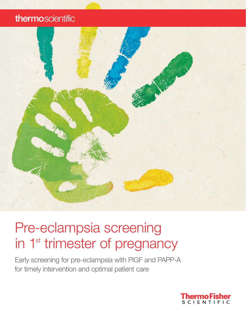## thermoscientific



# Pre-eclampsia screening in 1<sup>st</sup> trimester of pregnancy

Early screening for pre-eclampsia with PlGF and PAPP-A for timely intervention and optimal patient care

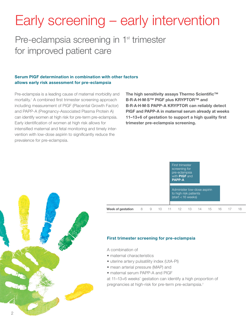# Early screening – early intervention

Pre-eclampsia screening in 1<sup>st</sup> trimester for improved patient care

#### Serum PlGF determination in combination with other factors allows early risk assessment for pre-eclampsia

Pre-eclampsia is a leading cause of maternal morbidity and mortality.<sup>1</sup> A combined first trimester screening approach including measurement of PlGF (Placental Growth Factor) and PAPP-A (Pregnancy-Associated Plasma Protein A) can identify women at high risk for pre-term pre-eclampsia. Early identification of women at high risk allows for intensified maternal and fetal monitoring and timely intervention with low-dose aspirin to significantly reduce the prevalence for pre-eclampsia.

#### The high sensitivity assays Thermo Scientific™ B·R·A·H·M·S™ PlGF plus KRYPTOR™ and B·R·A·H·M·S PAPP-A KRYPTOR can reliably detect PlGF and PAPP-A in maternal serum already at weeks 11–13+6 of gestation to support a high quality first trimester pre-eclampsia screening.





#### **Week of gestation** 8 9 10 11 12 13 14 15 16 17 18

#### First trimester screening for pre-eclampsia

- A combination of
- maternal characteristics
- uterine artery pulsatility index (UtA-PI)
- mean arterial pressure (MAP) and
- maternal serum PAPP-A and PlGF

at 11–13+6 weeks' gestation can identify a high proportion of pregnancies at high-risk for pre-term pre-eclampsia.<sup>2</sup>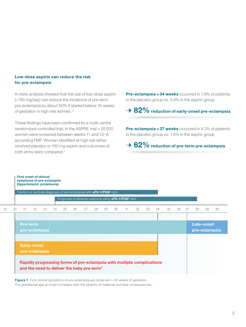#### Low-dose aspirin can reduce the risk for pre-eclampsia

First onset of clinical

A meta-analysis showed that the use of low-dose aspirin (<150 mg/day) can reduce the incidence of pre-term pre-eclampsia by about 50% if started before 16 weeks of gestation in high risk women.<sup>3,4</sup>

These findings have been confirmed by a multi-centre randomized controlled trial. In the ASPRE trial > 25 000 women were screened between weeks 11 and 13–6 according FMF. Women identified at high risk either received placebo or 150 mg aspirin and outcomes of both arms were compared.<sup>5</sup>

Pre-eclampsia <34 weeks occurred in 1.8% of patients in the placebo group vs. 0.4% in the aspirin group

 $\rightarrow$  82% reduction of early-onset pre-eclampsia

Pre-eclampsia <37 weeks occurred in 4.3% of patients in the placebo group vs. 1.6% in the aspirin group

### $\rightarrow$  62% reduction of pre-term pre-eclampsia

### Late-onset pre-eclampsia Pre-term pre-eclampsia Week of gestation 8 9 10 11 12 13 14 15 16 17 18 19 20 21 22 23 24 25 26 27 28 29 30 31 32 33 34 35 36 37 38 39 40 Confirm or exclude diagnosis of pre-eclampsia with sFlt-1/PlGF ratio Prognosis of adverse outcome using **sFIt-1/PIGF** ratio symptoms of pre-eclampsia (hypertension, proteinuria) Early-onset pre-eclampsia Rapidly progressing forms of pre-eclampsia with multiple complications and the need to deliver the baby pre-term<sup>®</sup>

**Figure 1** First clinical symptoms of pre-eclampsia are observed > 20 weeks of gestation. The gestational age at onset correlates with the severity of maternal and fetal consequences.<sup>7</sup>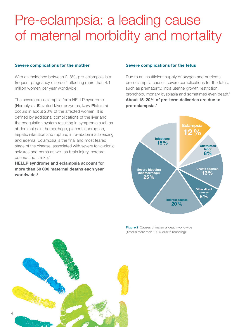# Pre-eclampsia: a leading cause of maternal morbidity and mortality

#### Severe complications for the mother

With an incidence between 2–8%, pre-eclampsia is a frequent pregnancy disorder<sup>8</sup> affecting more than 4.1 million women per year worldwide.<sup>1</sup>

The severe pre-eclampsia form HELLP syndrome (Hemolysis, Elevated Liver enzymes, Low Platelets) occurs in about 20% of the affected women. It is defined by additional complications of the liver and the coagulation system resulting in symptoms such as abdominal pain, hemorrhage, placental abruption, hepatic infarction and rupture, intra-abdominal bleeding and edema. Eclampsia is the final and most feared stage of the disease, associated with severe tonic-clonic seizures and coma as well as brain injury, cerebral edema and stroke.<sup>9</sup>

HELLP syndrome and eclampsia account for more than 50 000 maternal deaths each year worldwide.<sup>8</sup>

#### Severe complications for the fetus

Due to an insufficient supply of oxygen and nutrients, pre-eclampsia causes severe complications for the fetus, such as prematurity, intra uterine growth restriction, bronchopulmonary dysplasia and sometimes even death.<sup>9</sup> About 15–20% of pre-term deliveries are due to pre-eclampsia.<sup>9</sup>



**Figure 2** Causes of maternal death worldwide (Total is more than 100% due to rounding) <sup>1</sup>

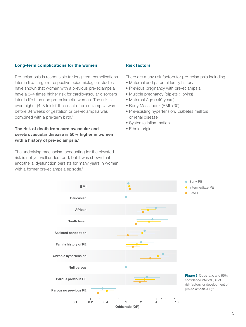#### Long-term complications for the women

Pre-eclampsia is responsible for long-term complications later in life. Large retrospective epidemiological studies have shown that women with a previous pre-eclampsia have a 3–4 times higher risk for cardiovascular disorders later in life than non pre-eclamptic women. The risk is even higher (4–8 fold) if the onset of pre-eclampsia was before 34 weeks of gestation or pre-eclampsia was combined with a pre-term birth.<sup>9</sup>

#### The risk of death from cardiovascular and cerebrovascular disease is 50% higher in women with a history of pre-eclampsia.<sup>9</sup>

The underlying mechanism accounting for the elevated risk is not yet well understood, but it was shown that endothelial dysfunction persists for many years in women with a former pre-eclampsia episode.<sup>9</sup>

#### Risk factors

There are many risk factors for pre-eclampsia including

- Maternal and paternal family history
- Previous pregnancy with pre-eclampsia
- Multiple pregnancy (triplets > twins)
- Maternal Age (>40 years)
- Body Mass Index (BMI >30)
- Pre-existing hypertension, Diabetes mellitus or renal disease
- Systemic inflammation
- Ethnic origin

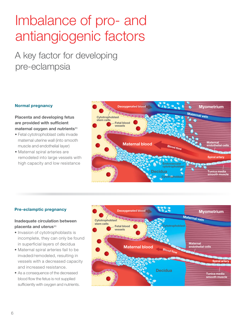# Imbalance of pro- and antiangiogenic factors

## A key factor for developing pre-eclampsia

#### Normal pregnancy

Placenta and developing fetus are provided with sufficient maternal oxygen and nutrients<sup>11</sup>

- Fetal cytotrophoblast cells invade maternal uterine wall (into smooth muscle and endothelial layer)
- Maternal spiral arteries are remodeled into large vessels with high capacity and low resistance



#### Pre-eclamptic pregnancy

#### Inadequate circulation between placenta and uterus<sup>11</sup>

- Invasion of cytotrophoblasts is incomplete, they can only be found in superficial layers of decidua
- Maternal spiral arteries fail to be invaded/remodeled, resulting in vessels with a decreased capacity and increased resistance.
- As a consequence of the decreased blood flow the fetus is not supplied sufficiently with oxygen and nutrients.

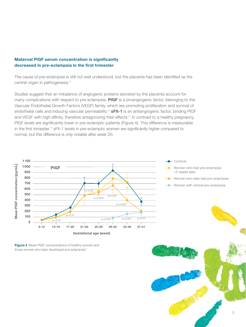#### Maternal PlGF serum concentration is significantly decreased in pre-eclampsia in the first trimester

The cause of pre-eclampsia is still not well understood, but the placenta has been identified as the central organ in pathogenesis.<sup>9</sup>

Studies suggest that an imbalance of angiogenic proteins secreted by the placenta account for many complications with respect to pre-eclampsia. PIGF is a proangiogenic factor, belonging to the Vascular Endothelial Growth Factors (VEGF) family, which are promoting proliferation and survival of endothelial cells and inducing vascular permeability.<sup>12</sup> sFIt-1 is an antiangiogenic factor, binding PIGF and VEGF with high affinity, therefore antagonizing their effects. 13 In contrast to a healthy pregnancy, PlGF levels are significantly lower in pre-eclamptic patients (Figure 4). This difference is measurable in the first trimester.<sup>14</sup> sFlt-1 levels in pre-eclamptic women are significantly higher compared to normal, but this difference is only notable after week 20.



Figure 4 Mean PIGF concentrations of healthy women and those women who later developed pre-eclampsia<sup>14</sup>



**Controls** 

>5 weeks later

Women who had pre-eclampsia

Women who later had pre-eclampsia Women with clinical pre-eclampsia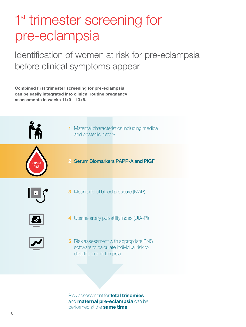# 1<sup>st</sup> trimester screening for pre-eclampsia

Identification of women at risk for pre-eclampsia before clinical symptoms appear

Combined first trimester screening for pre-eclampsia can be easily integrated into clinical routine pregnancy assessments in weeks 11+0 – 13+6.



Risk assessment for fetal trisomies and **maternal pre-eclampsia** can be performed at the same time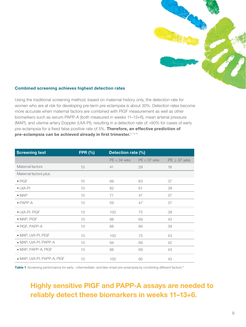

#### Combined screening achieves highest detection rates

Using the traditional screening method, based on maternal history only, the detection rate for women who are at risk for developing pre-term pre-eclampsia is about 30%. Detection rates become more accurate when maternal factors are combined with PlGF measurement as well as other biomarkers such as serum PAPP-A (both measured in weeks 11–13+6), mean arterial pressure (MAP), and uterine artery Doppler (UtA-PI), resulting in a detection rate of >90% for cases of early pre-eclampsia for a fixed false positive rate of 5%. Therefore, an effective prediction of pre-eclampsia can be achieved already in first trimester. 6,7,15,18

| <b>Screening test</b>       | <b>FPR (%)</b> | Detection rate (%) |               |                  |
|-----------------------------|----------------|--------------------|---------------|------------------|
|                             |                | $PE < 34$ wks      | $PE < 37$ wks | $PE \geq 37$ wks |
| Maternal factors            | 10             | 41                 | 29            | 18               |
| Maternal factors plus       |                |                    |               |                  |
| $\bullet$ PIGF              | $10$           | 88                 | 63            | 37               |
| $\bullet$ UtA-PI            | 10             | 82                 | 61            | 39               |
| $\bullet$ MAP               | 10             | 71                 | 47            | 37               |
| $\bullet$ PAPP-A            | 10             | 59                 | 47            | 37               |
| · UtA-PI, PIGF              | 10             | 100                | 75            | 39               |
| $\bullet$ MAP, PIGF         | 10             | 88                 | 69            | 43               |
| $\bullet$ PIGF, PAPP-A      | 10             | 88                 | 66            | 39               |
| · MAP, UtA-PI, PIGF         | 10             | 100                | 75            | 43               |
| · MAP, UtA-PI, PAPP-A       | 10             | 94                 | 69            | 42               |
| $\bullet$ MAP, PAPP-A, PIGF | 10             | 88                 | 69            | 43               |
| • MAP, UtA-PI, PAPP-A, PIGF | 10             | 100                | 80            | 43               |

Table 1 Screening performance for early-, intermediate- and late-onset pre-eclampsia by combining different factors<sup>18</sup>

### Highly sensitive PlGF and PAPP-A assays are needed to reliably detect these biomarkers in weeks 11–13+6.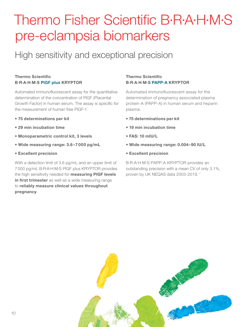# Thermo Fisher Scientific B·R·A·H·M·S pre-eclampsia biomarkers

## High sensitivity and exceptional precision

#### Thermo Scientific B·R·A·H·M·S PlGF plus KRYPTOR

Automated immunofluorescent assay for the quantitative determination of the concentration of PlGF (Placental Growth Factor) in human serum. The assay is specific for the measurement of human free PlGF-1.

- 75 determinations per kit
- 29 min incubation time
- Monoparametric control kit, 3 levels
- Wide measuring range: 3.6–7 000 pg/mL
- Excellent precision

With a detection limit of 3.6 pg/mL and an upper limit of 7 000 pg/mL B·R·A·H·M·S PlGF plus KRYPTOR provides the high sensitivity needed for **measuring PIGF levels** in first trimester as well as a wide measuring range to reliably measure clinical values throughout pregnancy.

#### Thermo Scientific B·R·A·H·M·S PAPP-A KRYPTOR

Automated immunofluorescent assay for the determination of pregnancy associated plasma protein-A (PAPP-A) in human serum and heparin plasma.

- 75 determinations per kit
- 19 min incubation time
- FAS: 10 mIU/L
- Wide measuring range: 0.004–90 IU/L
- Excellent precision

B·R·A·H·M·S PAPP-A KRYPTOR provides an outstanding precision with a mean CV of only 3.1%, proven by UK NEQAS data 2003-2019.<sup>17</sup>

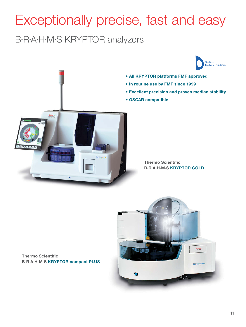# Exceptionally precise, fast and easy

B·R·A·H·M·S KRYPTOR analyzers



- All KRYPTOR platforms FMF approved
- In routine use by FMF since 1999
- Excellent precision and proven median stability
- OSCAR compatible



Thermo Scientific B·R·A·H·M·S KRYPTOR GOLD

Thermo Scientific B·R·A·H·M·S KRYPTOR compact PLUS